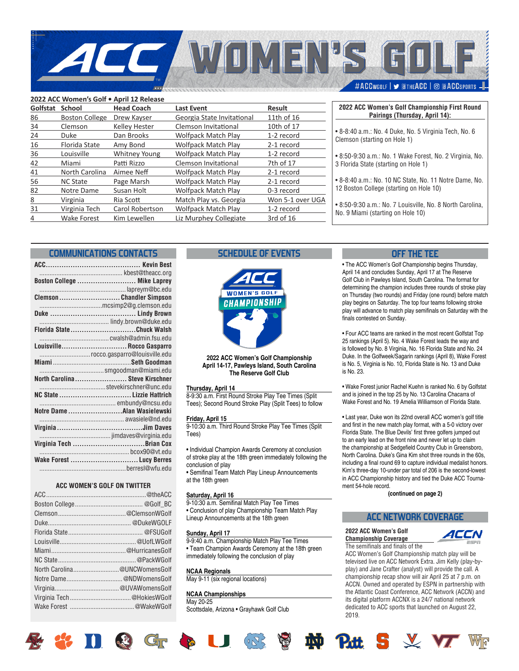

| 2022 ACC Women's Golf . April 12 Release |                       |                      |                             |                  |  |  |  |
|------------------------------------------|-----------------------|----------------------|-----------------------------|------------------|--|--|--|
| Golfstat                                 | <b>School</b>         | <b>Head Coach</b>    | <b>Last Event</b>           | <b>Result</b>    |  |  |  |
| 86                                       | <b>Boston College</b> | Drew Kayser          | Georgia State Invitational  | 11th of 16       |  |  |  |
| 34                                       | Clemson               | <b>Kelley Hester</b> | <b>Clemson Invitational</b> | 10th of 17       |  |  |  |
| 24                                       | Duke                  | Dan Brooks           | <b>Wolfpack Match Play</b>  | 1-2 record       |  |  |  |
| 16                                       | <b>Florida State</b>  | Amy Bond             | <b>Wolfpack Match Play</b>  | 2-1 record       |  |  |  |
| 36                                       | Louisville            | <b>Whitney Young</b> | <b>Wolfpack Match Play</b>  | 1-2 record       |  |  |  |
| 42                                       | Miami                 | Patti Rizzo          | Clemson Invitational        | 7th of 17        |  |  |  |
| 41                                       | North Carolina        | Aimee Neff           | <b>Wolfpack Match Play</b>  | 2-1 record       |  |  |  |
| 56                                       | <b>NC State</b>       | Page Marsh           | <b>Wolfpack Match Play</b>  | 2-1 record       |  |  |  |
| 82                                       | Notre Dame            | Susan Holt           | <b>Wolfpack Match Play</b>  | 0-3 record       |  |  |  |
| 8                                        | Virginia              | Ria Scott            | Match Play vs. Georgia      | Won 5-1 over UGA |  |  |  |
| 31                                       | Virginia Tech         | Carol Robertson      | <b>Wolfpack Match Play</b>  | 1-2 record       |  |  |  |
| 4                                        | Wake Forest           | Kim Lewellen         | Liz Murphey Collegiate      | 3rd of 16        |  |  |  |
|                                          |                       |                      |                             |                  |  |  |  |

### **2022 ACC Women's Golf Championship First Round Pairings (Thursday, April 14):**

- 8-8:40 a.m.: No. 4 Duke, No. 5 Virginia Tech, No. 6 Clemson (starting on Hole 1)
- 8:50-9:30 a.m.: No. 1 Wake Forest, No. 2 Virginia, No. 3 Florida State (starting on Hole 1)
- 8-8:40 a.m.: No. 10 NC State, No. 11 Notre Dame, No. 12 Boston College (starting on Hole 10)
- 8:50-9:30 a.m.: No. 7 Louisville, No. 8 North Carolina, No. 9 Miami (starting on Hole 10)

## **COMMUNICATIONS CONTACTS**

| Boston College  Mike Laprey    |
|--------------------------------|
|                                |
| Clemson Chandler Simpson       |
| mcsimp2@g.clemson.edu          |
|                                |
| lindy.brown@duke.edu           |
| Florida StateChuck Walsh       |
|                                |
| Louisville Rocco Gasparro      |
| rocco.gasparro@louisville.edu  |
|                                |
|                                |
| North Carolina Steve Kirschner |
|                                |
| NC State  Lizzie Hattrich      |
|                                |
| Notre Dame Alan Wasielewski    |
|                                |
|                                |
|                                |
| Virginia Tech Brian Cox        |
|                                |
| Wake Forest Lucy Berres        |
|                                |

## **ACC WOMEN'S GOLF ON TWITTER**

| North Carolina@UNCWomensGolf |  |
|------------------------------|--|
| Notre Dame@NDWomensGolf      |  |
|                              |  |
| Virginia Tech@HokiesWGolf    |  |
|                              |  |
|                              |  |

**LEDOG** 

## **SCHEDULE OF EVENTS**



**2022 ACC Women's Golf Championship April 14-17, Pawleys Island, South Carolina The Reserve Golf Club**

#### **Thursday, April 14**

8-9:30 a.m. First Round Stroke Play Tee Times (Split Tees); Second Round Stroke Play (Split Tees) to follow

### **Friday, April 15**

9-10:30 a.m. Third Round Stroke Play Tee Times (Split Tees)

• Individual Champion Awards Ceremony at conclusion of stroke play at the 18th green immediately following the conclusion of play

• Semifinal Team Match Play Lineup Announcements at the 18th green

#### **Saturday, April 16**

9-10:30 a.m. Semifinal Match Play Tee Times • Conclusion of play Championship Team Match Play Lineup Announcements at the 18th green

#### **Sunday, April 17**

9-9:40 a.m. Championship Match Play Tee Times • Team Champion Awards Ceremony at the 18th green immediately following the conclusion of play

#### **NCAA Regionals**

May 9-11 (six regional locations)

#### **NCAA Championships**

May 20-25 Scottsdale, Arizona • Grayhawk Golf Club

## **OFF THE TEE**

• The ACC Women's Golf Championship begins Thursday, April 14 and concludes Sunday, April 17 at The Reserve Golf Club in Pawleys Island, South Carolina. The format for determining the champion includes three rounds of stroke play on Thursday (two rounds) and Friday (one round) before match play begins on Saturday. The top four teams following stroke play will advance to match play semifinals on Saturday with the finals contested on Sunday.

• Four ACC teams are ranked in the most recent Golfstat Top 25 rankings (April 5). No. 4 Wake Forest leads the way and is followed by No. 8 Virginia, No. 16 Florida State and No. 24 Duke. In the Golfweek/Sagarin rankings (April 8), Wake Forest is No. 5, Virginia is No. 10, Florida State is No. 13 and Duke is No. 23.

• Wake Forest junior Rachel Kuehn is ranked No. 6 by Golfstat and is joined in the top 25 by No. 13 Carolina Chacarra of Wake Forest and No. 19 Amelia Williamson of Florida State.

• Last year, Duke won its 22nd overall ACC women's golf title and first in the new match play format, with a 5-0 victory over Florida State. The Blue Devils' first three golfers jumped out to an early lead on the front nine and never let up to claim the championship at Sedgefield Country Club in Greensboro, North Carolina. Duke's Gina Kim shot three rounds in the 60s, including a final round 69 to capture individual medalist honors. Kim's three-day 10-under par total of 206 is the second-lowest in ACC Championship history and tied the Duke ACC Tournament 54-hole record.

**(continued on page 2)**

### **ACC NETWORK COVERAGE**

**2022 ACC Women's Golf Championship Coverage**



The semifinals and finals of the ACC Women's Golf Championship match play will be televised live on ACC Network Extra. Jim Kelly (play-byplay) and Jane Crafter (analyst) will provide the call. A championship recap show will air April 25 at 7 p.m. on ACCN. Owned and operated by ESPN in partnership with the Atlantic Coast Conference, ACC Network (ACCN) and its digital platform ACCNX is a 24/7 national network dedicated to ACC sports that launched on August 22, 2019.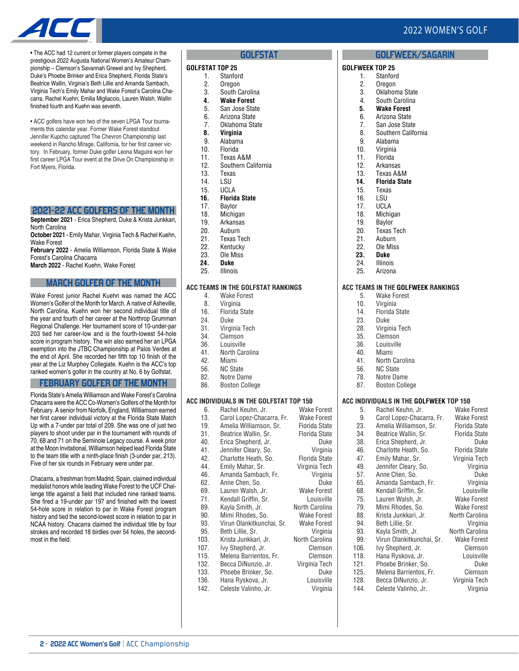# 2022 WOMEN'S GOLF

**GOLFWEEK/SAGARIN**



• The ACC had 12 current or former players compete in the prestigious 2022 Augusta National Women's Amateur Championship – Clemson's Savannah Grewel and Ivy Shepherd, Duke's Phoebe Brinker and Erica Shepherd, Florida State's Beatrice Wallin, Virginia's Beth Lillie and Amanda Sambach, Virginia Tech's Emily Mahar and Wake Forest's Carolina Chacarra, Rachel Kuehn, Emilia Migliaccio, Lauren Walsh. Wallin finished fourth and Kuehn was seventh.

• ACC golfers have won two of the seven LPGA Tour tournaments this calendar year. Former Wake Forest standout Jennifer Kupcho captured The Chevron Championship last weekend in Rancho Mirage, California, for her first career victory. In February, former Duke golfer Leona Maguire won her first career LPGA Tour event at the Drive On Championship in Fort Myers, Florida.

## **2021-22 ACC GOLFERS OF THE MONTH**

**September 2021** - Erica Shepherd, Duke & Krista Junkkari, North Carolina

**October 2021** - Emily Mahar, Virginia Tech & Rachel Kuehn, Wake Forest

**February 2022** - Amelia Williamson, Florida State & Wake Forest's Carolina Chacarra

**March 2022** - Rachel Kuehn, Wake Forest

## **MARCH GOLFER OF THE MONTH**

Wake Forest junior Rachel Kuehn was named the ACC Women's Golfer of the Month for March. A native of Asheville, North Carolina, Kuehn won her second individual title of the year and fourth of her career at the Northrop Grumman Regional Challenge. Her tournament score of 10-under-par 203 tied her career-low and is the fourth-lowest 54-hole score in program history. The win also earned her an LPGA exemption into the JTBC Championship at Palos Verdes at the end of April. She recorded her fifth top 10 finish of the year at the Liz Murphey Collegiate. Kuehn is the ACC's top ranked women's golfer in the country at No. 6 by Golfstat.

### **FEBRUARY GOLFER OF THE MONTH**

Florida State's Amelia Williamson and Wake Forest's Carolina Chacarra were the ACC Co-Women's Golfers of the Month for February. A senior from Norfolk, England, Williamson earned her first career individual victory at the Florida State Match Up with a 7-under par total of 209. She was one of just two players to shoot under par in the tournament with rounds of 70, 68 and 71 on the Seminole Legacy course. A week prior at the Moon Invitational, Williamson helped lead Florida State to the team title with a ninth-place finish (3-under par, 213). Five of her six rounds in February were under par.

Chacarra, a freshman from Madrid, Spain, claimed individual medalist honors while leading Wake Forest to the UCF Challenge title against a field that included nine ranked teams. She fired a 19-under par 197 and finished with the lowest 54-hole score in relation to par in Wake Forest program history and tied the second-lowest score in relation to par in NCAA history. Chacarra claimed the individual title by four strokes and recorded 18 birdies over 54 holes, the secondmost in the field.

### **GOLFSTAT**

#### **GOLFSTAT TOP 25**

- 1. Stanford
- 2. Oregon<br>3. South C South Carolina
- **4. Wake Forest**
- 5. San Jose State
- 6. Arizona State
- 7. Oklahoma State
- **8. Virginia**
- 9. Alabama
- 10. Florida 11. Texas A&M
- 12. Southern California
- 
- 13. Texas<br>14. LSU
- 14. LSU<br>15. UCL/ **UCLA**
- **16. Florida State**
- 17. Baylor
- 18. Michigan<br>19. Arkansas
- Arkansas
- 20. Auburn
- 21. Texas Tech<br>22. Kentucky Kentucky
- 23. Ole Miss
- 
- **24. Duke Illinois**

### **ACC TEAMS IN THE GOLFSTAT RANKINGS**

- 4. Wake Forest
- 8. Virginia
- 16. Florida State 24. Duke
- 
- 31. Virginia Tech<br>34. Clemson
- 34. Clemson<br>36. Louisville Louisville
- 41. North Carolina
- 42. Miami
- 
- 56. NC State<br>82. Notre Da Notre Dame
- 86. Boston College

## **ACC INDIVIDUALS IN THE GOLFSTAT TOP 150**

| 6.   | Rachel Keuhn, Jr.         | Wake Forest          |
|------|---------------------------|----------------------|
| 13.  | Carol Lopez-Chacarra, Fr. | Wake Forest          |
| 19.  | Amelia Williamson, Sr.    | <b>Florida State</b> |
| 31.  | Beatrice Wallin, Sr.      | <b>Florida State</b> |
| 40.  | Erica Shepherd, Jr.       | Duke                 |
| 41.  | Jennifer Cleary, So.      | Virginia             |
| 42.  | Charlotte Heath, So.      | <b>Florida State</b> |
| 44.  | Emily Mahar, Sr.          | Virginia Tech        |
| 46.  | Amanda Sambach, Fr.       | Virginia             |
| 62.  | Anne Chen, So.            | Duke                 |
| 69.  | Lauren Walsh, Jr.         | <b>Wake Forest</b>   |
| 71.  | Kendall Griffin, Sr.      | Louisville           |
| 89.  | Kayla Smith, Jr.          | North Carolina       |
| 90.  | Mimi Rhodes, So.          | Wake Forest          |
| 93.  | Virun Olankitkunchai, Sr. | <b>Wake Forest</b>   |
| 95.  | Beth Lillie, Sr.          | Virginia             |
| 103. | Krista Junkkari, Jr.      | North Carolina       |
| 107. | Ivy Shepherd, Jr.         | Clemson              |
| 115. | Melena Barrientos, Fr.    | Clemson              |
| 132. | Becca DiNunzio, Jr.       | Virginia Tech        |
| 133. | Phoebe Brinker, So.       | Duke                 |
| 136. | Hana Ryskova, Jr.         | Louisville           |
| 142. | Celeste Valinho, Jr.      | Virginia             |
|      |                           |                      |

| GOLFWEEK TOP 25 |                      |
|-----------------|----------------------|
| 1.              | Stanford             |
| 2.              | Oregon               |
| 3.              | Oklahoma State       |
| 4.              | South Carolina       |
| 5.              | <b>Wake Forest</b>   |
| 6.              | Arizona State        |
| 7.              | San Jose State       |
| 8.              | Southern California  |
| 9.              | Alabama              |
| 10.             | Virginia             |
| 11.             | Florida              |
| 12.             | Arkansas             |
|                 | 13. Texas A&M        |
| 14.             | <b>Florida State</b> |
| 15.             | Texas                |
| 16.             | lsu                  |
| 17.             | <b>UCLA</b>          |
| 18.             | Michigan             |
| 19.             | Baylor               |
| 20.             | <b>Texas Tech</b>    |
| 21.             | Auburn               |
| 22.             | Ole Miss             |
| nn              | n                    |

- **23. Duke**
- 24. Illinois
- 25. Arizona

## **ACC TEAMS IN THE GOLFWEEK RANKINGS**

- 5. Wake Forest
- 10. Virginia
- 14. Florida State
- 23. Duke
- 28. Virginia Tech<br>35. Clemson
- 35. Clemson<br>36. Louisville
- Louisville
- 40. Miami
- 41. North Carolina
- 56. NC State<br>78. Notre Da
- Notre Dame
- 87. Boston College

### **ACC INDIVIDUALS IN THE GOLFWEEK TOP 150**

| 5.   | Rachel Keuhn, Jr.         | Wake Forest          |
|------|---------------------------|----------------------|
| 9.   | Carol Lopez-Chacarra, Fr. | <b>Wake Forest</b>   |
| 23.  | Amelia Williamson, Sr.    | Florida State        |
| 34.  | Beatrice Wallin, Sr.      | Florida State        |
| 38.  | Erica Shepherd, Jr.       | Duke                 |
| 46.  | Charlotte Heath, So.      | <b>Florida State</b> |
| 47.  | Emily Mahar, Sr.          | Virginia Tech        |
| 49.  | Jennifer Cleary, So.      | Virginia             |
| 57.  | Anne Chen, So.            | Duke                 |
| 65.  | Amanda Sambach, Fr.       | Virginia             |
| 68.  | Kendall Griffin, Sr.      | Louisville           |
| 75.  | Lauren Walsh, Jr.         | <b>Wake Forest</b>   |
| 79.  | Mimi Rhodes, So.          | <b>Wake Forest</b>   |
| 88.  | Krista Junkkari, Jr.      | North Carolina       |
| 94.  | Beth Lillie, Sr.          | Virginia             |
| 93.  | Kayla Smith, Jr.          | North Carolina       |
| 99.  | Virun Olankitkunchai, Sr. | <b>Wake Forest</b>   |
| 106. | Ivy Shepherd, Jr.         | Clemson              |
| 118. | Hana Ryskova, Jr.         | Louisville           |
| 121. | Phoebe Brinker, So.       | Duke                 |
| 125. | Melena Barrientos, Fr.    | Clemson              |
| 128. | Becca DiNunzio, Jr.       | Virginia Tech        |
| 144. | Celeste Valinho, Jr.      | Virginia             |